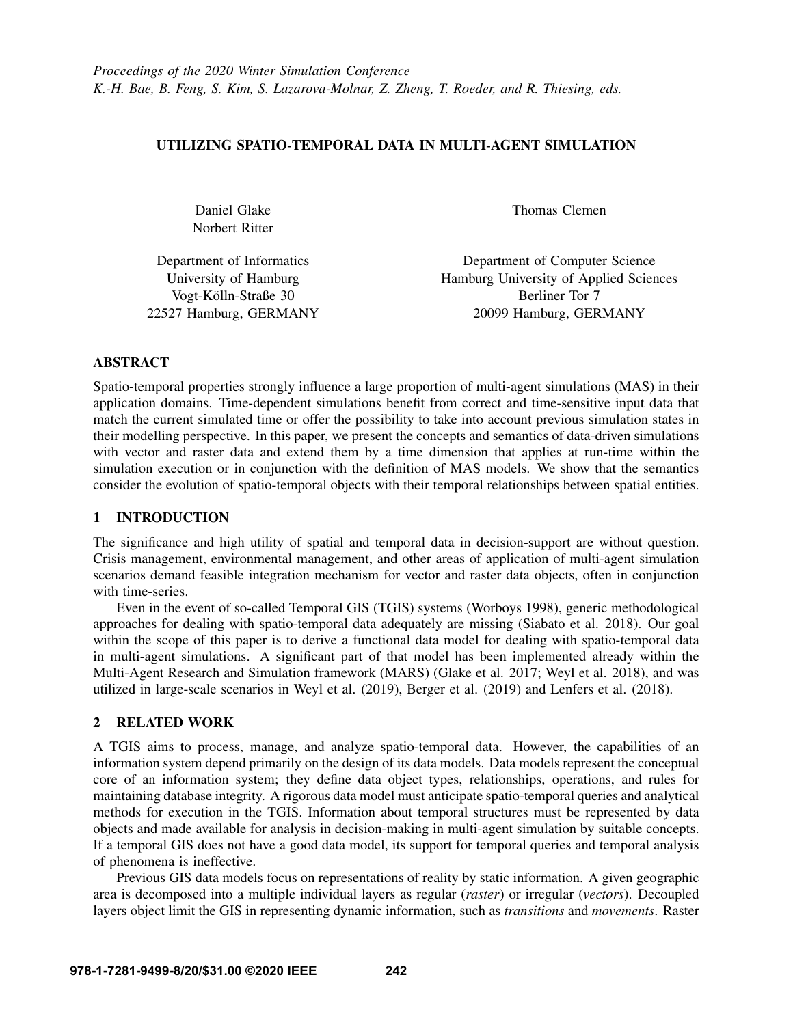## UTILIZING SPATIO-TEMPORAL DATA IN MULTI-AGENT SIMULATION

Daniel Glake Norbert Ritter Thomas Clemen

| Department of Informatics | Department of Computer Science         |
|---------------------------|----------------------------------------|
| University of Hamburg     | Hamburg University of Applied Sciences |
| Vogt-Kölln-Straße 30      | Berliner Tor 7                         |
| 22527 Hamburg, GERMANY    | 20099 Hamburg, GERMANY                 |

## ABSTRACT

Spatio-temporal properties strongly influence a large proportion of multi-agent simulations (MAS) in their application domains. Time-dependent simulations benefit from correct and time-sensitive input data that match the current simulated time or offer the possibility to take into account previous simulation states in their modelling perspective. In this paper, we present the concepts and semantics of data-driven simulations with vector and raster data and extend them by a time dimension that applies at run-time within the simulation execution or in conjunction with the definition of MAS models. We show that the semantics consider the evolution of spatio-temporal objects with their temporal relationships between spatial entities.

## 1 INTRODUCTION

The significance and high utility of spatial and temporal data in decision-support are without question. Crisis management, environmental management, and other areas of application of multi-agent simulation scenarios demand feasible integration mechanism for vector and raster data objects, often in conjunction with time-series.

Even in the event of so-called Temporal GIS (TGIS) systems [\(Worboys 1998\)](#page-11-0), generic methodological approaches for dealing with spatio-temporal data adequately are missing [\(Siabato et al. 2018\)](#page-11-1). Our goal within the scope of this paper is to derive a functional data model for dealing with spatio-temporal data in multi-agent simulations. A significant part of that model has been implemented already within the Multi-Agent Research and Simulation framework (MARS) [\(Glake et al. 2017;](#page-11-2) [Weyl et al. 2018\)](#page-11-3), and was utilized in large-scale scenarios in [Weyl et al. \(2019\),](#page-11-4) [Berger et al. \(2019\)](#page-10-0) and [Lenfers et al. \(2018\).](#page-11-5)

# 2 RELATED WORK

A TGIS aims to process, manage, and analyze spatio-temporal data. However, the capabilities of an information system depend primarily on the design of its data models. Data models represent the conceptual core of an information system; they define data object types, relationships, operations, and rules for maintaining database integrity. A rigorous data model must anticipate spatio-temporal queries and analytical methods for execution in the TGIS. Information about temporal structures must be represented by data objects and made available for analysis in decision-making in multi-agent simulation by suitable concepts. If a temporal GIS does not have a good data model, its support for temporal queries and temporal analysis of phenomena is ineffective.

Previous GIS data models focus on representations of reality by static information. A given geographic area is decomposed into a multiple individual layers as regular (*raster*) or irregular (*vectors*). Decoupled layers object limit the GIS in representing dynamic information, such as *transitions* and *movements*. Raster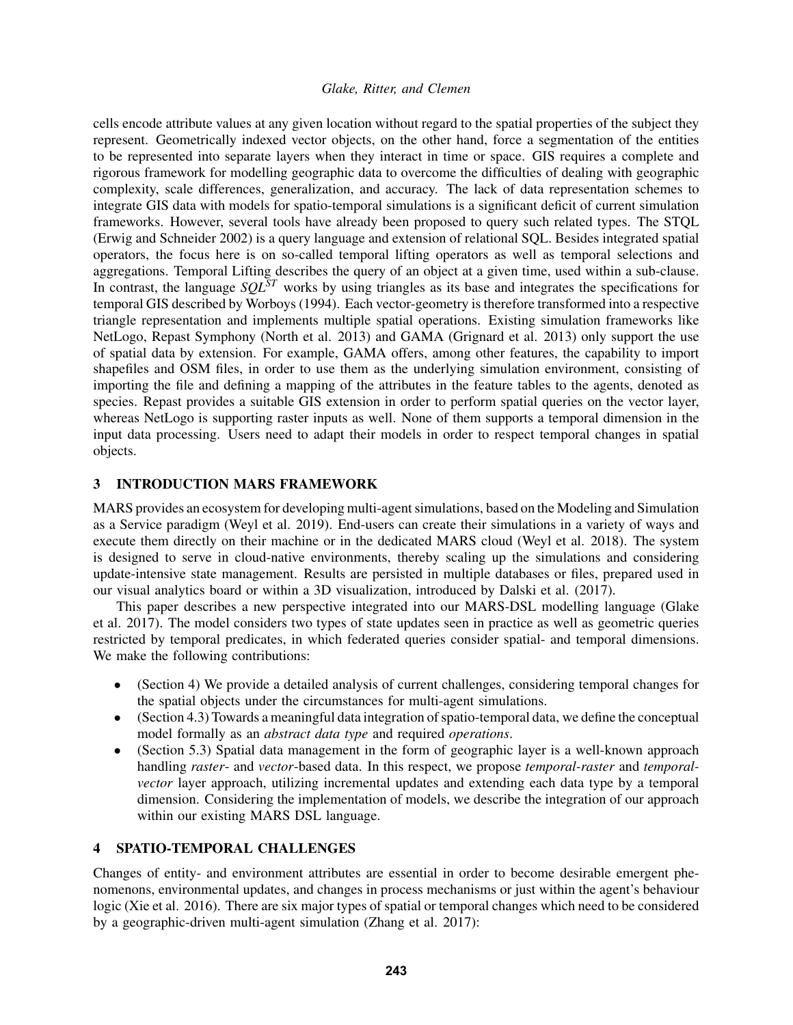cells encode attribute values at any given location without regard to the spatial properties of the subject they represent. Geometrically indexed vector objects, on the other hand, force a segmentation of the entities to be represented into separate layers when they interact in time or space. GIS requires a complete and rigorous framework for modelling geographic data to overcome the difficulties of dealing with geographic complexity, scale differences, generalization, and accuracy. The lack of data representation schemes to integrate GIS data with models for spatio-temporal simulations is a significant deficit of current simulation frameworks. However, several tools have already been proposed to query such related types. The STQL [\(Erwig and Schneider 2002\)](#page-10-1) is a query language and extension of relational SQL. Besides integrated spatial operators, the focus here is on so-called temporal lifting operators as well as temporal selections and aggregations. Temporal Lifting describes the query of an object at a given time, used within a sub-clause. In contrast, the language *SQL<sup>ST</sup>* works by using triangles as its base and integrates the specifications for temporal GIS described by [Worboys \(1994\).](#page-11-6) Each vector-geometry is therefore transformed into a respective triangle representation and implements multiple spatial operations. Existing simulation frameworks like NetLogo, Repast Symphony [\(North et al. 2013\)](#page-11-7) and GAMA [\(Grignard et al. 2013\)](#page-11-8) only support the use of spatial data by extension. For example, GAMA offers, among other features, the capability to import shapefiles and OSM files, in order to use them as the underlying simulation environment, consisting of importing the file and defining a mapping of the attributes in the feature tables to the agents, denoted as species. Repast provides a suitable GIS extension in order to perform spatial queries on the vector layer, whereas NetLogo is supporting raster inputs as well. None of them supports a temporal dimension in the input data processing. Users need to adapt their models in order to respect temporal changes in spatial objects.

# 3 INTRODUCTION MARS FRAMEWORK

MARS provides an ecosystem for developing multi-agent simulations, based on the Modeling and Simulation as a Service paradigm [\(Weyl et al. 2019\)](#page-11-4). End-users can create their simulations in a variety of ways and execute them directly on their machine or in the dedicated MARS cloud [\(Weyl et al. 2018\)](#page-11-3). The system is designed to serve in cloud-native environments, thereby scaling up the simulations and considering update-intensive state management. Results are persisted in multiple databases or files, prepared used in our visual analytics board or within a 3D visualization, introduced by [Dalski et al. \(2017\).](#page-10-2)

This paper describes a new perspective integrated into our MARS-DSL modelling language [\(Glake](#page-11-2) [et al. 2017\)](#page-11-2). The model considers two types of state updates seen in practice as well as geometric queries restricted by temporal predicates, in which federated queries consider spatial- and temporal dimensions. We make the following contributions:

- (Section 4) We provide a detailed analysis of current challenges, considering temporal changes for the spatial objects under the circumstances for multi-agent simulations.
- (Section 4.3) Towards a meaningful data integration of spatio-temporal data, we define the conceptual model formally as an *abstract data type* and required *operations*.
- (Section 5.3) Spatial data management in the form of geographic layer is a well-known approach handling *raster*- and *vector*-based data. In this respect, we propose *temporal-raster* and *temporalvector* layer approach, utilizing incremental updates and extending each data type by a temporal dimension. Considering the implementation of models, we describe the integration of our approach within our existing MARS DSL language.

# 4 SPATIO-TEMPORAL CHALLENGES

Changes of entity- and environment attributes are essential in order to become desirable emergent phenomenons, environmental updates, and changes in process mechanisms or just within the agent's behaviour logic [\(Xie et al. 2016\)](#page-11-9). There are six major types of spatial or temporal changes which need to be considered by a geographic-driven multi-agent simulation [\(Zhang et al. 2017\)](#page-11-10):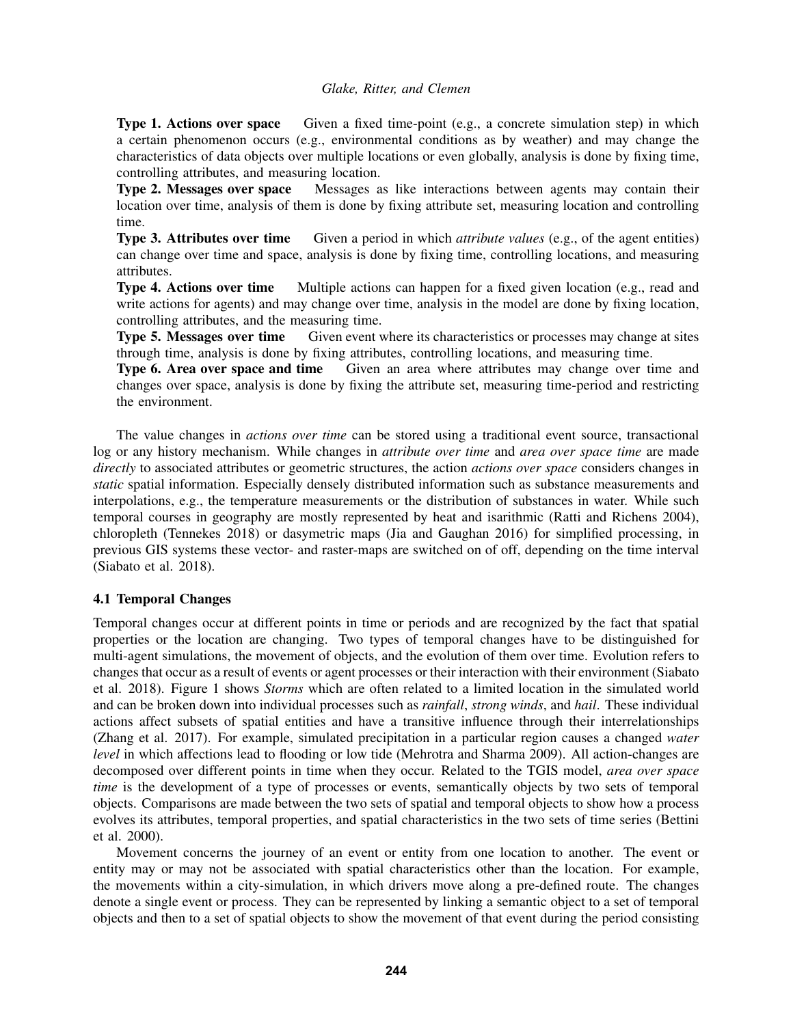Type 1. Actions over space Given a fixed time-point (e.g., a concrete simulation step) in which a certain phenomenon occurs (e.g., environmental conditions as by weather) and may change the characteristics of data objects over multiple locations or even globally, analysis is done by fixing time, controlling attributes, and measuring location.

Type 2. Messages over space Messages as like interactions between agents may contain their location over time, analysis of them is done by fixing attribute set, measuring location and controlling time.

Type 3. Attributes over time Given a period in which *attribute values* (e.g., of the agent entities) can change over time and space, analysis is done by fixing time, controlling locations, and measuring attributes.

Type 4. Actions over time Multiple actions can happen for a fixed given location (e.g., read and write actions for agents) and may change over time, analysis in the model are done by fixing location, controlling attributes, and the measuring time.

Type 5. Messages over time Given event where its characteristics or processes may change at sites through time, analysis is done by fixing attributes, controlling locations, and measuring time.

Type 6. Area over space and time Given an area where attributes may change over time and changes over space, analysis is done by fixing the attribute set, measuring time-period and restricting the environment.

The value changes in *actions over time* can be stored using a traditional event source, transactional log or any history mechanism. While changes in *attribute over time* and *area over space time* are made *directly* to associated attributes or geometric structures, the action *actions over space* considers changes in *static* spatial information. Especially densely distributed information such as substance measurements and interpolations, e.g., the temperature measurements or the distribution of substances in water. While such temporal courses in geography are mostly represented by heat and isarithmic [\(Ratti and Richens 2004\)](#page-11-11), chloropleth [\(Tennekes 2018\)](#page-11-12) or dasymetric maps [\(Jia and Gaughan 2016\)](#page-11-13) for simplified processing, in previous GIS systems these vector- and raster-maps are switched on of off, depending on the time interval [\(Siabato et al. 2018\)](#page-11-1).

# 4.1 Temporal Changes

Temporal changes occur at different points in time or periods and are recognized by the fact that spatial properties or the location are changing. Two types of temporal changes have to be distinguished for multi-agent simulations, the movement of objects, and the evolution of them over time. Evolution refers to changes that occur as a result of events or agent processes or their interaction with their environment [\(Siabato](#page-11-1) [et al. 2018\)](#page-11-1). Figure 1 shows *Storms* which are often related to a limited location in the simulated world and can be broken down into individual processes such as *rainfall*, *strong winds*, and *hail*. These individual actions affect subsets of spatial entities and have a transitive influence through their interrelationships [\(Zhang et al. 2017\)](#page-11-10). For example, simulated precipitation in a particular region causes a changed *water level* in which affections lead to flooding or low tide [\(Mehrotra and Sharma 2009\)](#page-11-14). All action-changes are decomposed over different points in time when they occur. Related to the TGIS model, *area over space time* is the development of a type of processes or events, semantically objects by two sets of temporal objects. Comparisons are made between the two sets of spatial and temporal objects to show how a process evolves its attributes, temporal properties, and spatial characteristics in the two sets of time series [\(Bettini](#page-10-3) [et al. 2000\)](#page-10-3).

Movement concerns the journey of an event or entity from one location to another. The event or entity may or may not be associated with spatial characteristics other than the location. For example, the movements within a city-simulation, in which drivers move along a pre-defined route. The changes denote a single event or process. They can be represented by linking a semantic object to a set of temporal objects and then to a set of spatial objects to show the movement of that event during the period consisting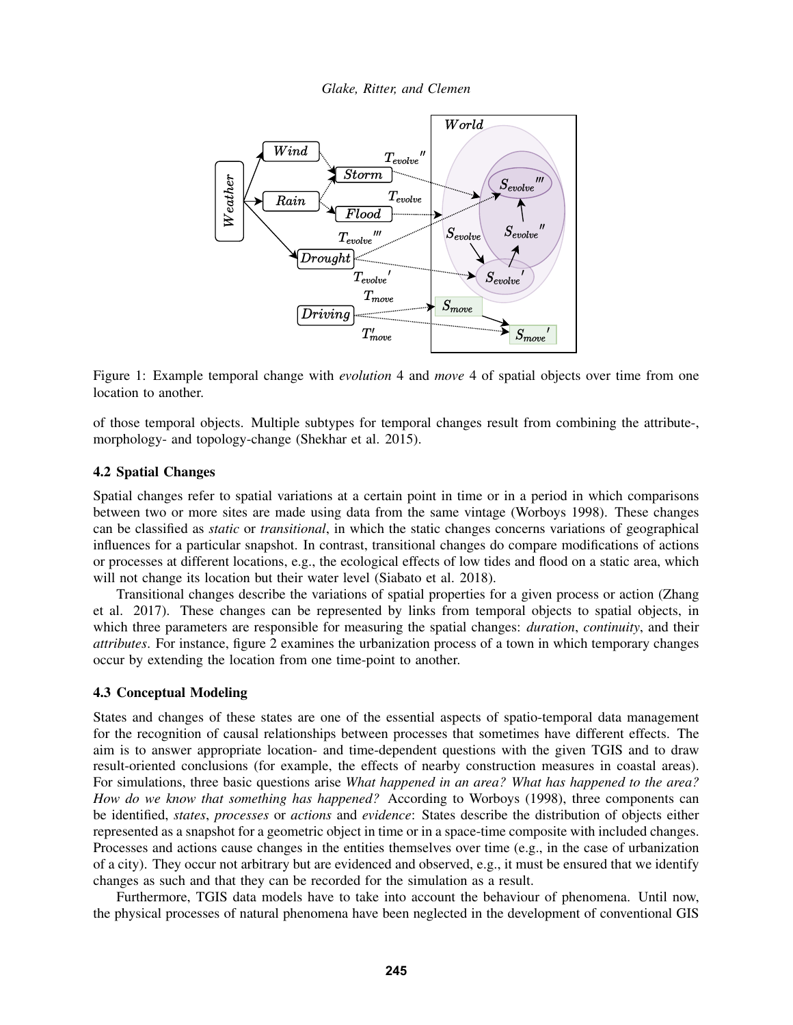*Glake, Ritter, and Clemen*



Figure 1: Example temporal change with *evolution* 4 and *move* 4 of spatial objects over time from one location to another.

of those temporal objects. Multiple subtypes for temporal changes result from combining the attribute-, morphology- and topology-change [\(Shekhar et al. 2015\)](#page-11-15).

# 4.2 Spatial Changes

Spatial changes refer to spatial variations at a certain point in time or in a period in which comparisons between two or more sites are made using data from the same vintage [\(Worboys 1998\)](#page-11-0). These changes can be classified as *static* or *transitional*, in which the static changes concerns variations of geographical influences for a particular snapshot. In contrast, transitional changes do compare modifications of actions or processes at different locations, e.g., the ecological effects of low tides and flood on a static area, which will not change its location but their water level [\(Siabato et al. 2018\)](#page-11-1).

Transitional changes describe the variations of spatial properties for a given process or action [\(Zhang](#page-11-10) [et al. 2017\)](#page-11-10). These changes can be represented by links from temporal objects to spatial objects, in which three parameters are responsible for measuring the spatial changes: *duration*, *continuity*, and their *attributes*. For instance, figure 2 examines the urbanization process of a town in which temporary changes occur by extending the location from one time-point to another.

## 4.3 Conceptual Modeling

States and changes of these states are one of the essential aspects of spatio-temporal data management for the recognition of causal relationships between processes that sometimes have different effects. The aim is to answer appropriate location- and time-dependent questions with the given TGIS and to draw result-oriented conclusions (for example, the effects of nearby construction measures in coastal areas). For simulations, three basic questions arise *What happened in an area? What has happened to the area? How do we know that something has happened?* According to [Worboys \(1998\),](#page-11-0) three components can be identified, *states*, *processes* or *actions* and *evidence*: States describe the distribution of objects either represented as a snapshot for a geometric object in time or in a space-time composite with included changes. Processes and actions cause changes in the entities themselves over time (e.g., in the case of urbanization of a city). They occur not arbitrary but are evidenced and observed, e.g., it must be ensured that we identify changes as such and that they can be recorded for the simulation as a result.

Furthermore, TGIS data models have to take into account the behaviour of phenomena. Until now, the physical processes of natural phenomena have been neglected in the development of conventional GIS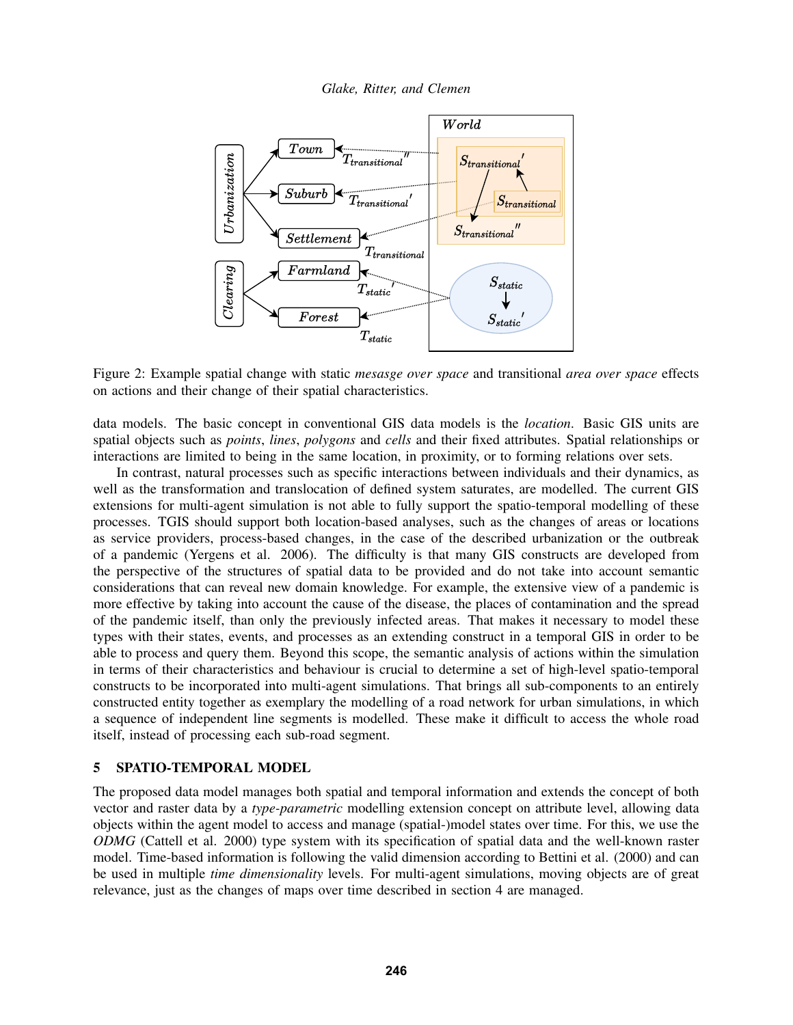*Glake, Ritter, and Clemen*



Figure 2: Example spatial change with static *mesasge over space* and transitional *area over space* effects on actions and their change of their spatial characteristics.

data models. The basic concept in conventional GIS data models is the *location*. Basic GIS units are spatial objects such as *points*, *lines*, *polygons* and *cells* and their fixed attributes. Spatial relationships or interactions are limited to being in the same location, in proximity, or to forming relations over sets.

In contrast, natural processes such as specific interactions between individuals and their dynamics, as well as the transformation and translocation of defined system saturates, are modelled. The current GIS extensions for multi-agent simulation is not able to fully support the spatio-temporal modelling of these processes. TGIS should support both location-based analyses, such as the changes of areas or locations as service providers, process-based changes, in the case of the described urbanization or the outbreak of a pandemic [\(Yergens et al. 2006\)](#page-11-16). The difficulty is that many GIS constructs are developed from the perspective of the structures of spatial data to be provided and do not take into account semantic considerations that can reveal new domain knowledge. For example, the extensive view of a pandemic is more effective by taking into account the cause of the disease, the places of contamination and the spread of the pandemic itself, than only the previously infected areas. That makes it necessary to model these types with their states, events, and processes as an extending construct in a temporal GIS in order to be able to process and query them. Beyond this scope, the semantic analysis of actions within the simulation in terms of their characteristics and behaviour is crucial to determine a set of high-level spatio-temporal constructs to be incorporated into multi-agent simulations. That brings all sub-components to an entirely constructed entity together as exemplary the modelling of a road network for urban simulations, in which a sequence of independent line segments is modelled. These make it difficult to access the whole road itself, instead of processing each sub-road segment.

# 5 SPATIO-TEMPORAL MODEL

The proposed data model manages both spatial and temporal information and extends the concept of both vector and raster data by a *type-parametric* modelling extension concept on attribute level, allowing data objects within the agent model to access and manage (spatial-)model states over time. For this, we use the *ODMG* [\(Cattell et al. 2000\)](#page-10-4) type system with its specification of spatial data and the well-known raster model. Time-based information is following the valid dimension according to [Bettini et al. \(2000\)](#page-10-3) and can be used in multiple *time dimensionality* levels. For multi-agent simulations, moving objects are of great relevance, just as the changes of maps over time described in section 4 are managed.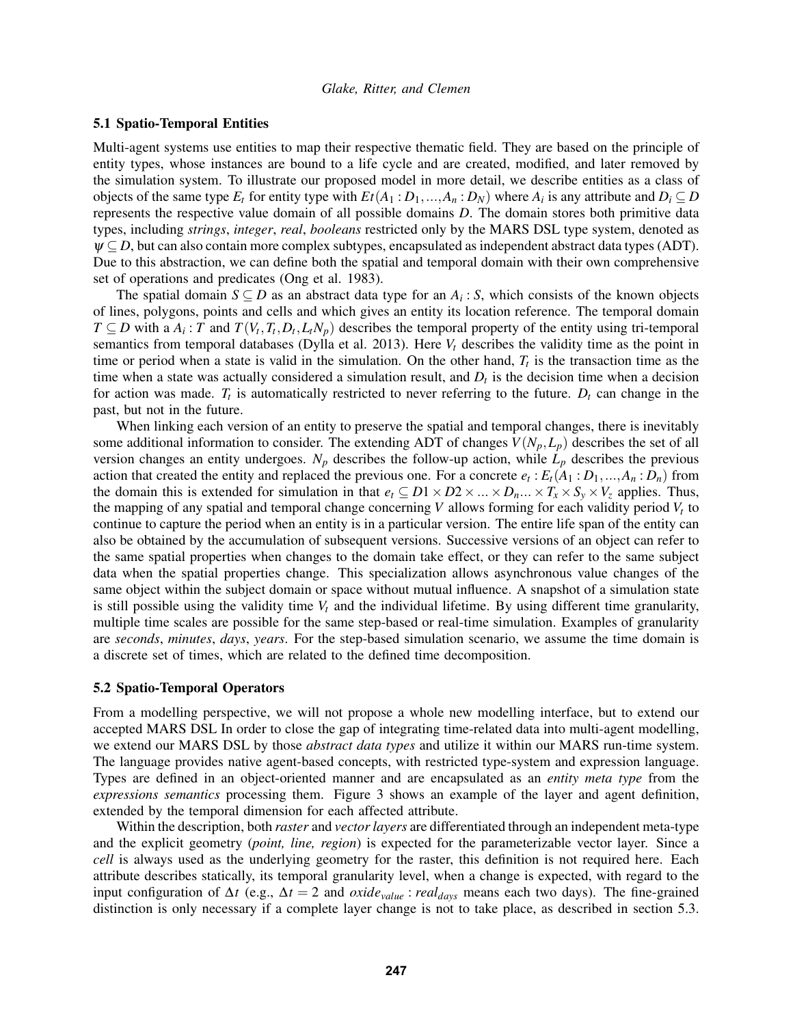### 5.1 Spatio-Temporal Entities

Multi-agent systems use entities to map their respective thematic field. They are based on the principle of entity types, whose instances are bound to a life cycle and are created, modified, and later removed by the simulation system. To illustrate our proposed model in more detail, we describe entities as a class of objects of the same type  $E_t$  for entity type with  $Et(A_1 : D_1, ..., A_n : D_N)$  where  $A_i$  is any attribute and  $D_i \subseteq D$ represents the respective value domain of all possible domains *D*. The domain stores both primitive data types, including *strings*, *integer*, *real*, *booleans* restricted only by the MARS DSL type system, denoted as  $\psi \subseteq D$ , but can also contain more complex subtypes, encapsulated as independent abstract data types (ADT). Due to this abstraction, we can define both the spatial and temporal domain with their own comprehensive set of operations and predicates [\(Ong et al. 1983\)](#page-11-17).

The spatial domain  $S \subseteq D$  as an abstract data type for an  $A_i : S$ , which consists of the known objects of lines, polygons, points and cells and which gives an entity its location reference. The temporal domain *T* ⊆ *D* with a  $A_i$ : *T* and  $T(V_t, T_t, D_t, L_tN_p)$  describes the temporal property of the entity using tri-temporal semantics from temporal databases [\(Dylla et al. 2013\)](#page-10-5). Here  $V_t$  describes the validity time as the point in time or period when a state is valid in the simulation. On the other hand,  $T_t$  is the transaction time as the time when a state was actually considered a simulation result, and  $D_t$  is the decision time when a decision for action was made.  $T_t$  is automatically restricted to never referring to the future.  $D_t$  can change in the past, but not in the future.

When linking each version of an entity to preserve the spatial and temporal changes, there is inevitably some additional information to consider. The extending ADT of changes  $V(N_p, L_p)$  describes the set of all version changes an entity undergoes.  $N_p$  describes the follow-up action, while  $L_p$  describes the previous action that created the entity and replaced the previous one. For a concrete  $e_t$ :  $E_t(A_1 : D_1, ..., A_n : D_n)$  from the domain this is extended for simulation in that  $e_t \subseteq D1 \times D2 \times \ldots \times D_n \ldots \times T_x \times S_y \times V_z$  applies. Thus, the mapping of any spatial and temporal change concerning *V* allows forming for each validity period *V<sup>t</sup>* to continue to capture the period when an entity is in a particular version. The entire life span of the entity can also be obtained by the accumulation of subsequent versions. Successive versions of an object can refer to the same spatial properties when changes to the domain take effect, or they can refer to the same subject data when the spatial properties change. This specialization allows asynchronous value changes of the same object within the subject domain or space without mutual influence. A snapshot of a simulation state is still possible using the validity time  $V_t$  and the individual lifetime. By using different time granularity, multiple time scales are possible for the same step-based or real-time simulation. Examples of granularity are *seconds*, *minutes*, *days*, *years*. For the step-based simulation scenario, we assume the time domain is a discrete set of times, which are related to the defined time decomposition.

#### 5.2 Spatio-Temporal Operators

From a modelling perspective, we will not propose a whole new modelling interface, but to extend our accepted MARS DSL In order to close the gap of integrating time-related data into multi-agent modelling, we extend our MARS DSL by those *abstract data types* and utilize it within our MARS run-time system. The language provides native agent-based concepts, with restricted type-system and expression language. Types are defined in an object-oriented manner and are encapsulated as an *entity meta type* from the *expressions semantics* processing them. Figure 3 shows an example of the layer and agent definition, extended by the temporal dimension for each affected attribute.

Within the description, both *raster* and *vector layers* are differentiated through an independent meta-type and the explicit geometry (*point, line, region*) is expected for the parameterizable vector layer. Since a *cell* is always used as the underlying geometry for the raster, this definition is not required here. Each attribute describes statically, its temporal granularity level, when a change is expected, with regard to the input configuration of ∆*t* (e.g., ∆*t* = 2 and *oxidevalue* : *realdays* means each two days). The fine-grained distinction is only necessary if a complete layer change is not to take place, as described in section 5.3.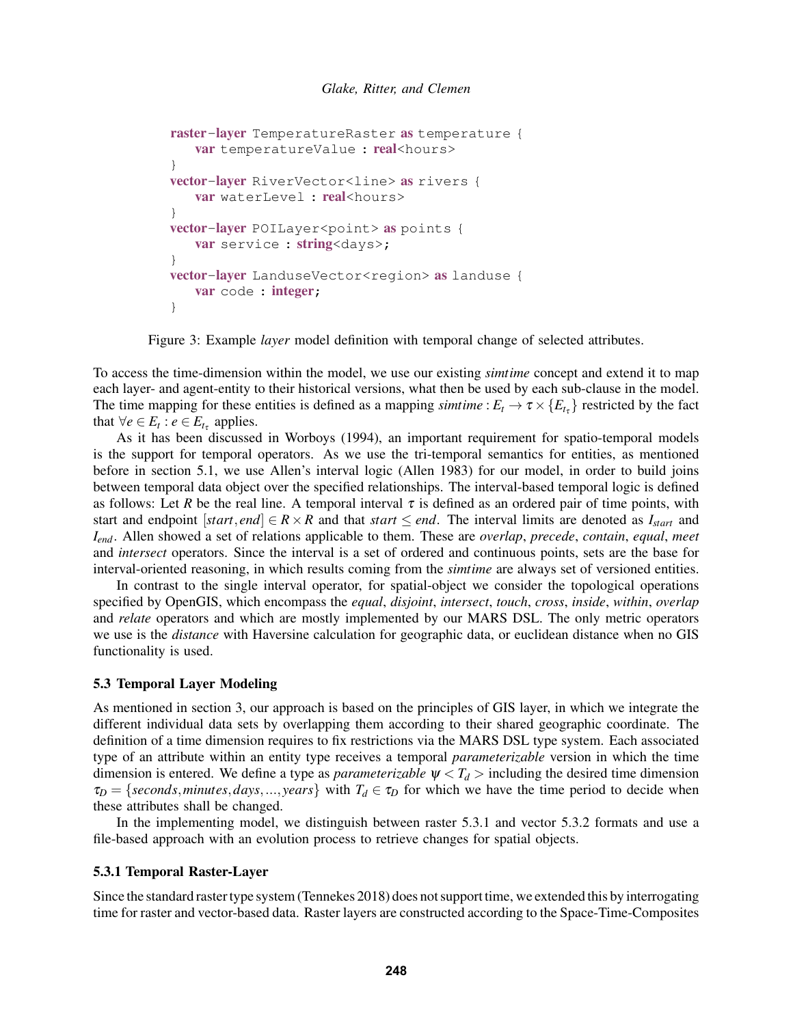```
raster-layer TemperatureRaster as temperature {
   var temperatureValue : real<hours>
}
vector-layer RiverVector<line> as rivers {
   var waterLevel : real<hours>
}
vector-layer POILayer<point> as points {
   var service : string<days>;
}
vector-layer LanduseVector<region> as landuse {
   var code : integer;
}
```
Figure 3: Example *layer* model definition with temporal change of selected attributes.

To access the time-dimension within the model, we use our existing *simtime* concept and extend it to map each layer- and agent-entity to their historical versions, what then be used by each sub-clause in the model. The time mapping for these entities is defined as a mapping *simtime* :  $E_t \to \tau \times \{E_{t_\tau}\}\)$  restricted by the fact that  $\forall e \in E_t : e \in E_{t_\tau}$  applies.

As it has been discussed in [Worboys \(1994\),](#page-11-6) an important requirement for spatio-temporal models is the support for temporal operators. As we use the tri-temporal semantics for entities, as mentioned before in section 5.1, we use Allen's interval logic [\(Allen 1983\)](#page-10-6) for our model, in order to build joins between temporal data object over the specified relationships. The interval-based temporal logic is defined as follows: Let *R* be the real line. A temporal interval  $\tau$  is defined as an ordered pair of time points, with start and endpoint  $[start, end] \in R \times R$  and that *start*  $\leq end$ . The interval limits are denoted as  $I_{start}$  and *Iend*. Allen showed a set of relations applicable to them. These are *overlap*, *precede*, *contain*, *equal*, *meet* and *intersect* operators. Since the interval is a set of ordered and continuous points, sets are the base for interval-oriented reasoning, in which results coming from the *simtime* are always set of versioned entities.

In contrast to the single interval operator, for spatial-object we consider the topological operations specified by OpenGIS, which encompass the *equal*, *disjoint*, *intersect*, *touch*, *cross*, *inside*, *within*, *overlap* and *relate* operators and which are mostly implemented by our MARS DSL. The only metric operators we use is the *distance* with Haversine calculation for geographic data, or euclidean distance when no GIS functionality is used.

## 5.3 Temporal Layer Modeling

As mentioned in section 3, our approach is based on the principles of GIS layer, in which we integrate the different individual data sets by overlapping them according to their shared geographic coordinate. The definition of a time dimension requires to fix restrictions via the MARS DSL type system. Each associated type of an attribute within an entity type receives a temporal *parameterizable* version in which the time dimension is entered. We define a type as *parameterizable*  $\psi < T_d$  > including the desired time dimension  $\tau_D = \{seconds, minutes, days, ..., years\}$  with  $T_d \in \tau_D$  for which we have the time period to decide when these attributes shall be changed.

In the implementing model, we distinguish between raster 5.3.1 and vector 5.3.2 formats and use a file-based approach with an evolution process to retrieve changes for spatial objects.

#### 5.3.1 Temporal Raster-Layer

Since the standard raster type system [\(Tennekes 2018\)](#page-11-12) does not support time, we extended this by interrogating time for raster and vector-based data. Raster layers are constructed according to the Space-Time-Composites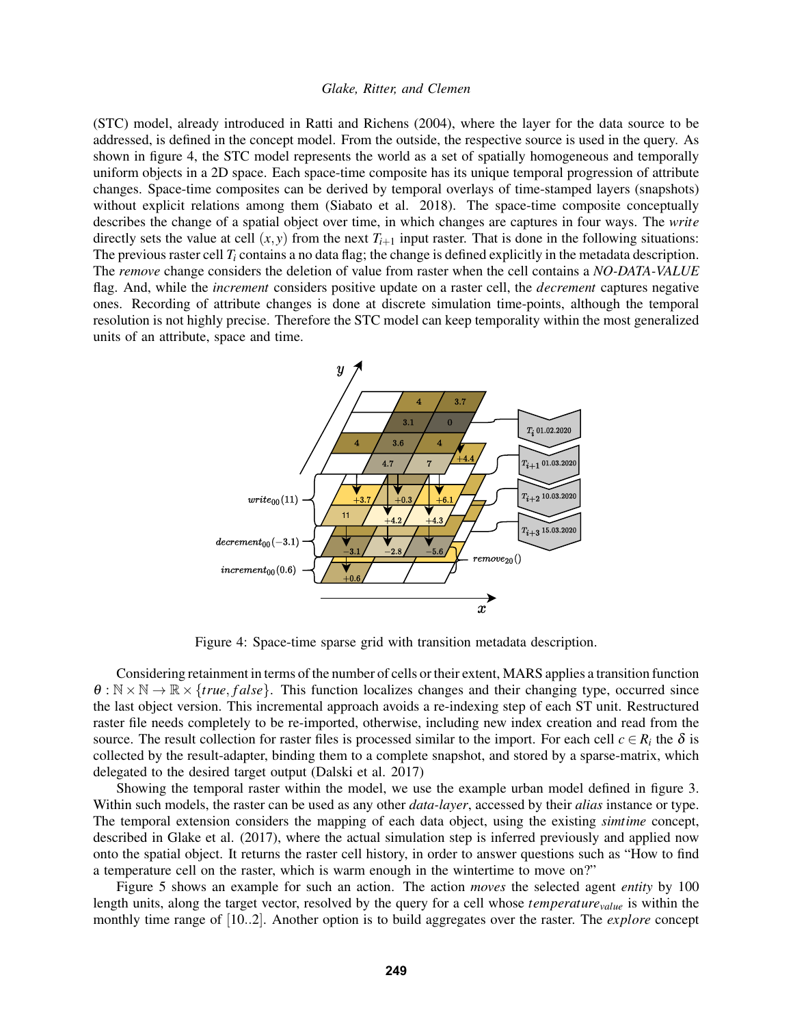(STC) model, already introduced in [Ratti and Richens \(2004\),](#page-11-11) where the layer for the data source to be addressed, is defined in the concept model. From the outside, the respective source is used in the query. As shown in figure 4, the STC model represents the world as a set of spatially homogeneous and temporally uniform objects in a 2D space. Each space-time composite has its unique temporal progression of attribute changes. Space-time composites can be derived by temporal overlays of time-stamped layers (snapshots) without explicit relations among them [\(Siabato et al. 2018\)](#page-11-1). The space-time composite conceptually describes the change of a spatial object over time, in which changes are captures in four ways. The *write* directly sets the value at cell  $(x, y)$  from the next  $T_{i+1}$  input raster. That is done in the following situations: The previous raster cell  $T_i$  contains a no data flag; the change is defined explicitly in the metadata description. The *remove* change considers the deletion of value from raster when the cell contains a *NO-DATA-VALUE* flag. And, while the *increment* considers positive update on a raster cell, the *decrement* captures negative ones. Recording of attribute changes is done at discrete simulation time-points, although the temporal resolution is not highly precise. Therefore the STC model can keep temporality within the most generalized units of an attribute, space and time.



Figure 4: Space-time sparse grid with transition metadata description.

Considering retainment in terms of the number of cells or their extent, MARS applies a transition function  $\theta$ :  $\mathbb{N} \times \mathbb{N} \to \mathbb{R} \times \{true, false\}$ . This function localizes changes and their changing type, occurred since the last object version. This incremental approach avoids a re-indexing step of each ST unit. Restructured raster file needs completely to be re-imported, otherwise, including new index creation and read from the source. The result collection for raster files is processed similar to the import. For each cell  $c \in R_i$  the  $\delta$  is collected by the result-adapter, binding them to a complete snapshot, and stored by a sparse-matrix, which delegated to the desired target output [\(Dalski et al. 2017\)](#page-10-2)

Showing the temporal raster within the model, we use the example urban model defined in figure 3. Within such models, the raster can be used as any other *data-layer*, accessed by their *alias* instance or type. The temporal extension considers the mapping of each data object, using the existing *simtime* concept, described in [Glake et al. \(2017\),](#page-11-2) where the actual simulation step is inferred previously and applied now onto the spatial object. It returns the raster cell history, in order to answer questions such as "How to find a temperature cell on the raster, which is warm enough in the wintertime to move on?"

Figure 5 shows an example for such an action. The action *moves* the selected agent *entity* by 100 length units, along the target vector, resolved by the query for a cell whose *temperaturevalue* is within the monthly time range of [10..2]. Another option is to build aggregates over the raster. The *explore* concept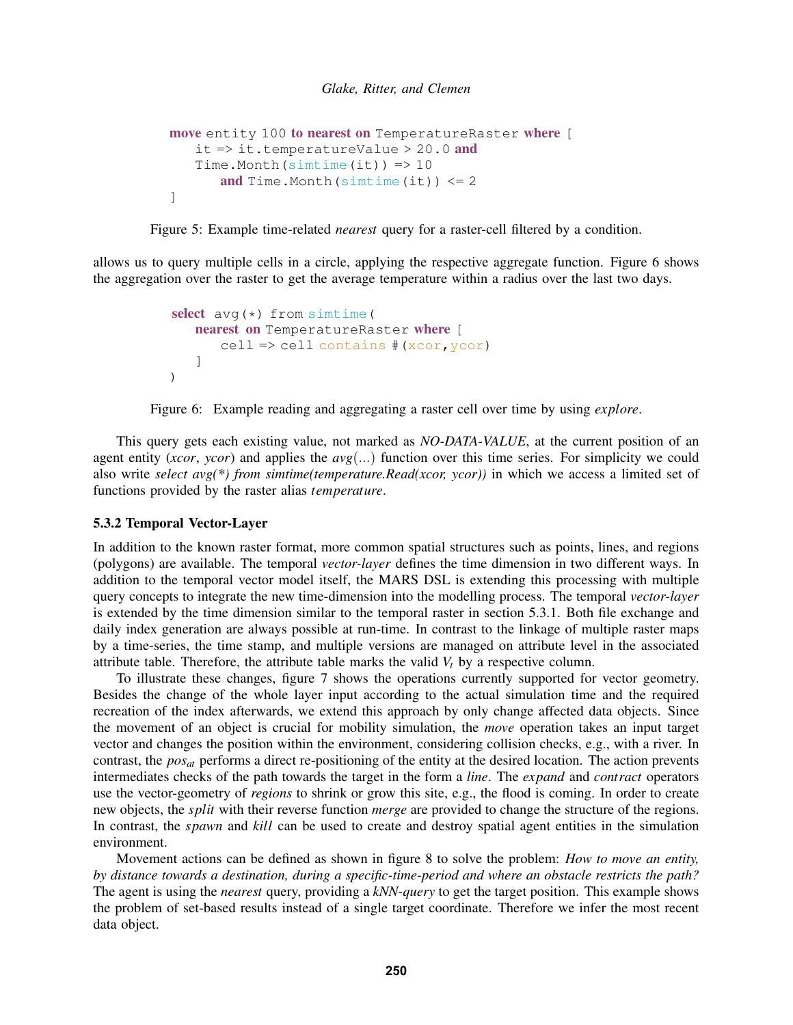```
move entity 100 to nearest on TemperatureRaster where [
   it => it.temperatureValue > 20.0 and
   Time.Month(simtime(it)) => 10and Time. Month (simtime(it)) \leq 2]
```


allows us to query multiple cells in a circle, applying the respective aggregate function. Figure 6 shows the aggregation over the raster to get the average temperature within a radius over the last two days.

```
select avg(*) from simtime (
   nearest on TemperatureRaster where [
      cell => cell contains #(xcor,ycor)
   ]
)
```
Figure 6: Example reading and aggregating a raster cell over time by using *explore*.

This query gets each existing value, not marked as *NO-DATA-VALUE*, at the current position of an agent entity (*xcor*, *ycor*) and applies the *avg*(...) function over this time series. For simplicity we could also write *select avg(\*) from simtime(temperature.Read(xcor, ycor))* in which we access a limited set of functions provided by the raster alias *temperature*.

## 5.3.2 Temporal Vector-Layer

In addition to the known raster format, more common spatial structures such as points, lines, and regions (polygons) are available. The temporal *vector-layer* defines the time dimension in two different ways. In addition to the temporal vector model itself, the MARS DSL is extending this processing with multiple query concepts to integrate the new time-dimension into the modelling process. The temporal *vector-layer* is extended by the time dimension similar to the temporal raster in section 5.3.1. Both file exchange and daily index generation are always possible at run-time. In contrast to the linkage of multiple raster maps by a time-series, the time stamp, and multiple versions are managed on attribute level in the associated attribute table. Therefore, the attribute table marks the valid *V<sup>t</sup>* by a respective column.

To illustrate these changes, figure 7 shows the operations currently supported for vector geometry. Besides the change of the whole layer input according to the actual simulation time and the required recreation of the index afterwards, we extend this approach by only change affected data objects. Since the movement of an object is crucial for mobility simulation, the *move* operation takes an input target vector and changes the position within the environment, considering collision checks, e.g., with a river. In contrast, the *posat* performs a direct re-positioning of the entity at the desired location. The action prevents intermediates checks of the path towards the target in the form a *line*. The *expand* and *contract* operators use the vector-geometry of *regions* to shrink or grow this site, e.g., the flood is coming. In order to create new objects, the *split* with their reverse function *merge* are provided to change the structure of the regions. In contrast, the *spawn* and *kill* can be used to create and destroy spatial agent entities in the simulation environment.

Movement actions can be defined as shown in figure 8 to solve the problem: *How to move an entity, by distance towards a destination, during a specific-time-period and where an obstacle restricts the path?* The agent is using the *nearest* query, providing a *kNN-query* to get the target position. This example shows the problem of set-based results instead of a single target coordinate. Therefore we infer the most recent data object.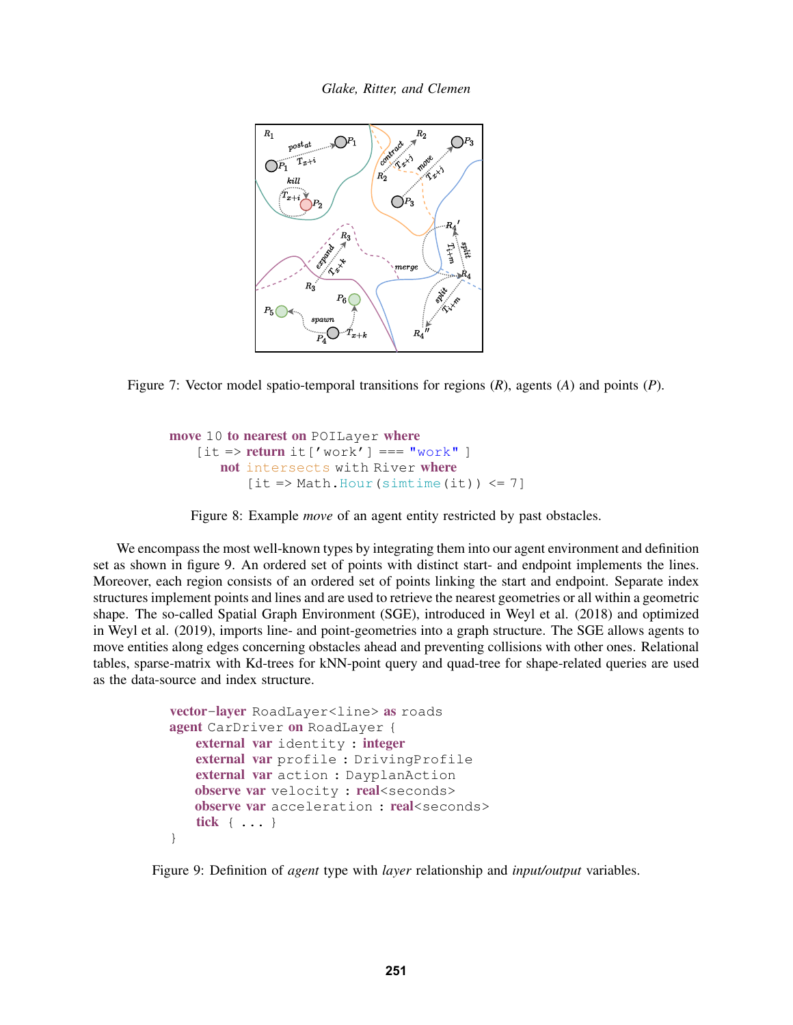

Figure 7: Vector model spatio-temporal transitions for regions (*R*), agents (*A*) and points (*P*).

```
move 10 to nearest on POILayer where
   [it => return it ['work'] === "work"]
       not intersects with River where
           [it \Rightarrow Math.Hour(simtime(it)) \leq 7]
```
Figure 8: Example *move* of an agent entity restricted by past obstacles.

We encompass the most well-known types by integrating them into our agent environment and definition set as shown in figure 9. An ordered set of points with distinct start- and endpoint implements the lines. Moreover, each region consists of an ordered set of points linking the start and endpoint. Separate index structures implement points and lines and are used to retrieve the nearest geometries or all within a geometric shape. The so-called Spatial Graph Environment (SGE), introduced in [Weyl et al. \(2018\)](#page-11-3) and optimized in [Weyl et al. \(2019\),](#page-11-4) imports line- and point-geometries into a graph structure. The SGE allows agents to move entities along edges concerning obstacles ahead and preventing collisions with other ones. Relational tables, sparse-matrix with Kd-trees for kNN-point query and quad-tree for shape-related queries are used as the data-source and index structure.

```
vector-layer RoadLayer<line> as roads
agent CarDriver on RoadLayer {
   external var identity : integer
   external var profile : DrivingProfile
   external var action : DayplanAction
   observe var velocity : real<seconds>
   observe var acceleration : real<seconds>
   tick { ... }
}
```
Figure 9: Definition of *agent* type with *layer* relationship and *input/output* variables.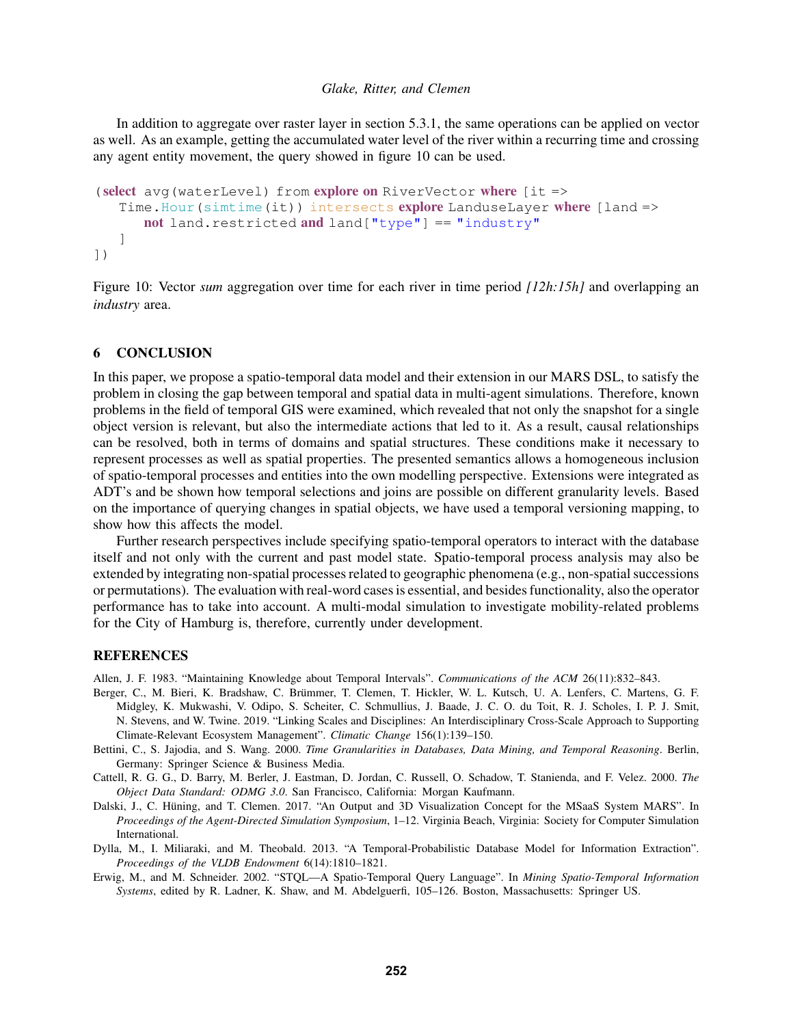In addition to aggregate over raster layer in section 5.3.1, the same operations can be applied on vector as well. As an example, getting the accumulated water level of the river within a recurring time and crossing any agent entity movement, the query showed in figure 10 can be used.

```
(select avg(waterLevel) from explore on RiverVector where [it =>
   Time.Hour(simtime(it)) intersects explore LanduseLayer where [land =>
      not land.restricted and land["type"] == "industry"
   ]
])
```
Figure 10: Vector *sum* aggregation over time for each river in time period *[12h:15h]* and overlapping an *industry* area.

### 6 CONCLUSION

In this paper, we propose a spatio-temporal data model and their extension in our MARS DSL, to satisfy the problem in closing the gap between temporal and spatial data in multi-agent simulations. Therefore, known problems in the field of temporal GIS were examined, which revealed that not only the snapshot for a single object version is relevant, but also the intermediate actions that led to it. As a result, causal relationships can be resolved, both in terms of domains and spatial structures. These conditions make it necessary to represent processes as well as spatial properties. The presented semantics allows a homogeneous inclusion of spatio-temporal processes and entities into the own modelling perspective. Extensions were integrated as ADT's and be shown how temporal selections and joins are possible on different granularity levels. Based on the importance of querying changes in spatial objects, we have used a temporal versioning mapping, to show how this affects the model.

Further research perspectives include specifying spatio-temporal operators to interact with the database itself and not only with the current and past model state. Spatio-temporal process analysis may also be extended by integrating non-spatial processes related to geographic phenomena (e.g., non-spatial successions or permutations). The evaluation with real-word cases is essential, and besides functionality, also the operator performance has to take into account. A multi-modal simulation to investigate mobility-related problems for the City of Hamburg is, therefore, currently under development.

### **REFERENCES**

<span id="page-10-6"></span>Allen, J. F. 1983. "Maintaining Knowledge about Temporal Intervals". *Communications of the ACM* 26(11):832–843.

- <span id="page-10-0"></span>Berger, C., M. Bieri, K. Bradshaw, C. Brümmer, T. Clemen, T. Hickler, W. L. Kutsch, U. A. Lenfers, C. Martens, G. F. Midgley, K. Mukwashi, V. Odipo, S. Scheiter, C. Schmullius, J. Baade, J. C. O. du Toit, R. J. Scholes, I. P. J. Smit, N. Stevens, and W. Twine. 2019. "Linking Scales and Disciplines: An Interdisciplinary Cross-Scale Approach to Supporting Climate-Relevant Ecosystem Management". *Climatic Change* 156(1):139–150.
- <span id="page-10-3"></span>Bettini, C., S. Jajodia, and S. Wang. 2000. *Time Granularities in Databases, Data Mining, and Temporal Reasoning*. Berlin, Germany: Springer Science & Business Media.
- <span id="page-10-4"></span>Cattell, R. G. G., D. Barry, M. Berler, J. Eastman, D. Jordan, C. Russell, O. Schadow, T. Stanienda, and F. Velez. 2000. *The Object Data Standard: ODMG 3.0*. San Francisco, California: Morgan Kaufmann.
- <span id="page-10-2"></span>Dalski, J., C. Hüning, and T. Clemen. 2017. "An Output and 3D Visualization Concept for the MSaaS System MARS". In *Proceedings of the Agent-Directed Simulation Symposium*, 1–12. Virginia Beach, Virginia: Society for Computer Simulation International.
- <span id="page-10-5"></span>Dylla, M., I. Miliaraki, and M. Theobald. 2013. "A Temporal-Probabilistic Database Model for Information Extraction". *Proceedings of the VLDB Endowment* 6(14):1810–1821.
- <span id="page-10-1"></span>Erwig, M., and M. Schneider. 2002. "STQL—A Spatio-Temporal Query Language". In *Mining Spatio-Temporal Information Systems*, edited by R. Ladner, K. Shaw, and M. Abdelguerfi, 105–126. Boston, Massachusetts: Springer US.